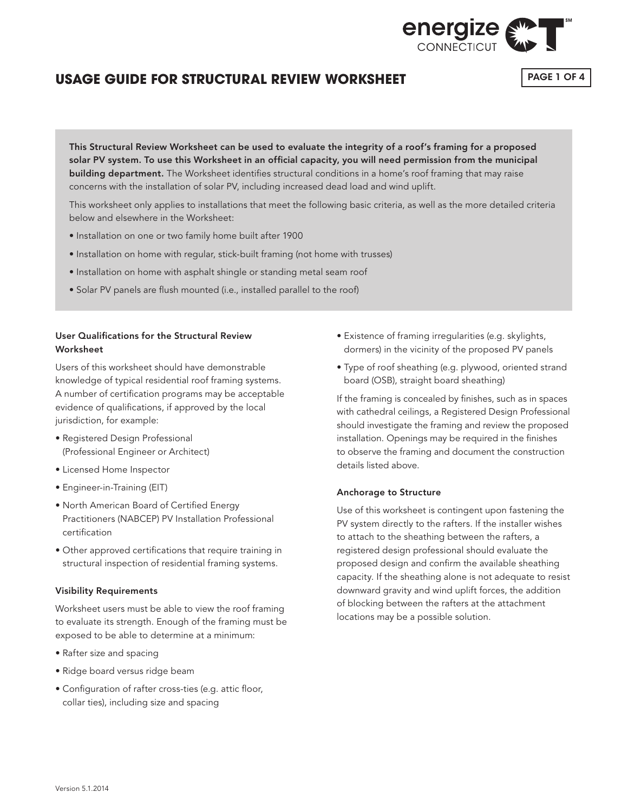

### **USAGE GUIDE FOR STRUCTURAL REVIEW WORKSHEET**

PAGE 1 OF 4

This Structural Review Worksheet can be used to evaluate the integrity of a roof's framing for a proposed solar PV system. To use this Worksheet in an official capacity, you will need permission from the municipal building department. The Worksheet identifies structural conditions in a home's roof framing that may raise concerns with the installation of solar PV, including increased dead load and wind uplift.

This worksheet only applies to installations that meet the following basic criteria, as well as the more detailed criteria below and elsewhere in the Worksheet:

- Installation on one or two family home built after 1900
- Installation on home with regular, stick-built framing (not home with trusses)
- Installation on home with asphalt shingle or standing metal seam roof
- Solar PV panels are flush mounted (i.e., installed parallel to the roof)

### User Qualifications for the Structural Review Worksheet

Users of this worksheet should have demonstrable knowledge of typical residential roof framing systems. A number of certification programs may be acceptable evidence of qualifications, if approved by the local jurisdiction, for example:

- Registered Design Professional (Professional Engineer or Architect)
- Licensed Home Inspector
- Engineer-in-Training (EIT)
- North American Board of Certified Energy Practitioners (NABCEP) PV Installation Professional certification
- Other approved certifications that require training in structural inspection of residential framing systems.

#### Visibility Requirements

Worksheet users must be able to view the roof framing to evaluate its strength. Enough of the framing must be exposed to be able to determine at a minimum:

- Rafter size and spacing
- Ridge board versus ridge beam
- Configuration of rafter cross-ties (e.g. attic floor, collar ties), including size and spacing
- Existence of framing irregularities (e.g. skylights, dormers) in the vicinity of the proposed PV panels
- Type of roof sheathing (e.g. plywood, oriented strand board (OSB), straight board sheathing)

If the framing is concealed by finishes, such as in spaces with cathedral ceilings, a Registered Design Professional should investigate the framing and review the proposed installation. Openings may be required in the finishes to observe the framing and document the construction details listed above.

#### Anchorage to Structure

Use of this worksheet is contingent upon fastening the PV system directly to the rafters. If the installer wishes to attach to the sheathing between the rafters, a registered design professional should evaluate the proposed design and confirm the available sheathing capacity. If the sheathing alone is not adequate to resist downward gravity and wind uplift forces, the addition of blocking between the rafters at the attachment locations may be a possible solution.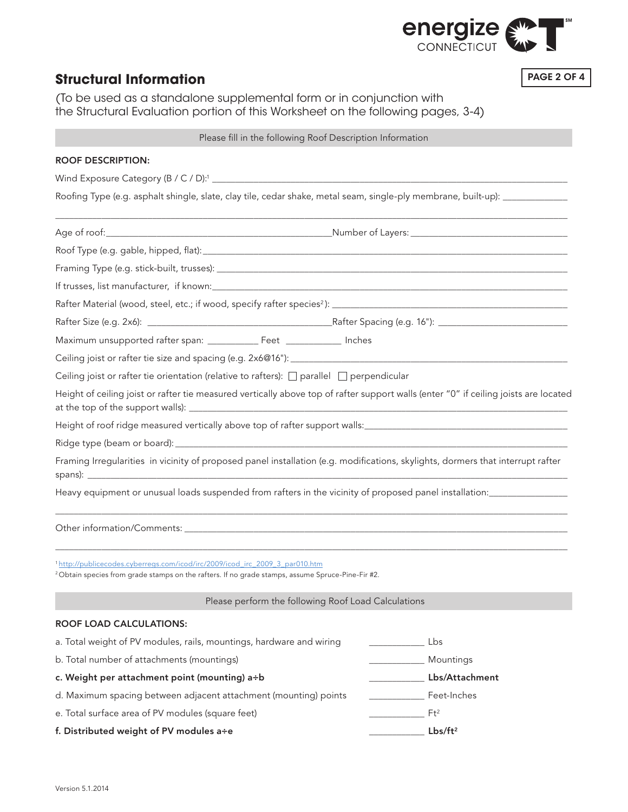

# **Structural Information**

PAGE 2 OF 4

(To be used as a standalone supplemental form or in conjunction with the Structural Evaluation portion of this Worksheet on the following pages, 3-4)

### Please fill in the following Roof Description Information

| <b>ROOF DESCRIPTION:</b>                                                                                                                                                                                |  |                                                           |                              |  |  |  |  |  |
|---------------------------------------------------------------------------------------------------------------------------------------------------------------------------------------------------------|--|-----------------------------------------------------------|------------------------------|--|--|--|--|--|
|                                                                                                                                                                                                         |  |                                                           |                              |  |  |  |  |  |
| Roofing Type (e.g. asphalt shingle, slate, clay tile, cedar shake, metal seam, single-ply membrane, built-up): ____________                                                                             |  |                                                           |                              |  |  |  |  |  |
|                                                                                                                                                                                                         |  |                                                           |                              |  |  |  |  |  |
|                                                                                                                                                                                                         |  |                                                           |                              |  |  |  |  |  |
|                                                                                                                                                                                                         |  |                                                           |                              |  |  |  |  |  |
|                                                                                                                                                                                                         |  |                                                           |                              |  |  |  |  |  |
|                                                                                                                                                                                                         |  |                                                           |                              |  |  |  |  |  |
|                                                                                                                                                                                                         |  |                                                           |                              |  |  |  |  |  |
|                                                                                                                                                                                                         |  |                                                           |                              |  |  |  |  |  |
|                                                                                                                                                                                                         |  |                                                           |                              |  |  |  |  |  |
| Ceiling joist or rafter tie orientation (relative to rafters): $\Box$ parallel $\Box$ perpendicular                                                                                                     |  |                                                           |                              |  |  |  |  |  |
| Height of ceiling joist or rafter tie measured vertically above top of rafter support walls (enter "0" if ceiling joists are located                                                                    |  |                                                           |                              |  |  |  |  |  |
|                                                                                                                                                                                                         |  |                                                           |                              |  |  |  |  |  |
|                                                                                                                                                                                                         |  |                                                           |                              |  |  |  |  |  |
| Framing Irregularities in vicinity of proposed panel installation (e.g. modifications, skylights, dormers that interrupt rafter                                                                         |  |                                                           |                              |  |  |  |  |  |
| Heavy equipment or unusual loads suspended from rafters in the vicinity of proposed panel installation: _______________________________                                                                 |  |                                                           |                              |  |  |  |  |  |
|                                                                                                                                                                                                         |  |                                                           |                              |  |  |  |  |  |
| <sup>1</sup> http://publicecodes.cyberregs.com/icod/irc/2009/icod_irc_2009_3_par010.htm<br><sup>2</sup> Obtain species from grade stamps on the rafters. If no grade stamps, assume Spruce-Pine-Fir #2. |  |                                                           |                              |  |  |  |  |  |
|                                                                                                                                                                                                         |  | Please perform the following Roof Load Calculations       |                              |  |  |  |  |  |
| <b>ROOF LOAD CALCULATIONS:</b>                                                                                                                                                                          |  |                                                           |                              |  |  |  |  |  |
| a. Total weight of PV modules, rails, mountings, hardware and wiring                                                                                                                                    |  | $\mathcal{L}^{\text{max}}$ and $\mathcal{L}^{\text{max}}$ | Lbs                          |  |  |  |  |  |
| b. Total number of attachments (mountings)                                                                                                                                                              |  |                                                           | Mountings                    |  |  |  |  |  |
| c. Weight per attachment point (mounting) a÷b                                                                                                                                                           |  |                                                           | Lbs/Attachment               |  |  |  |  |  |
| d. Maximum spacing between adjacent attachment (mounting) points                                                                                                                                        |  |                                                           | <b>Example 2</b> Feet-Inches |  |  |  |  |  |
| e. Total surface area of PV modules (square feet)                                                                                                                                                       |  |                                                           | $Ft^2$                       |  |  |  |  |  |
| f. Distributed weight of PV modules a÷e                                                                                                                                                                 |  |                                                           | Lbs/ft <sup>2</sup>          |  |  |  |  |  |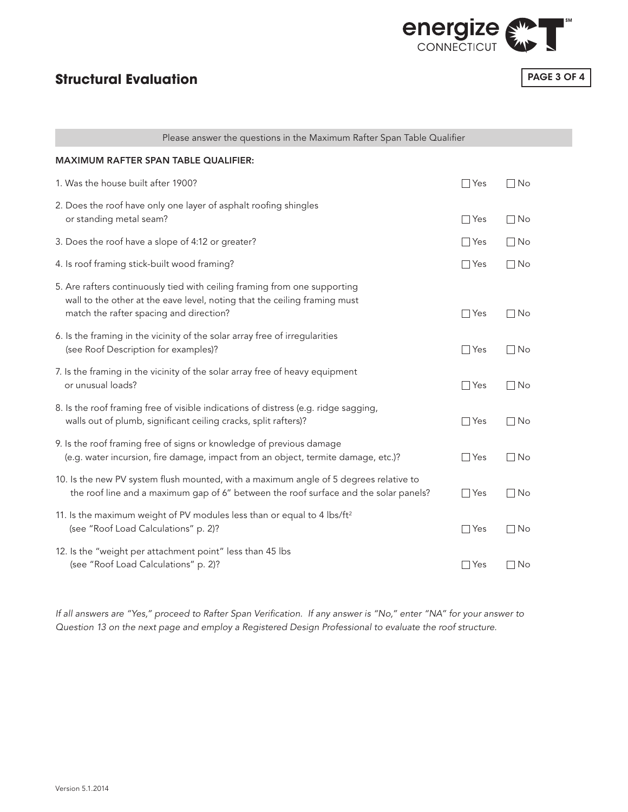

# **Structural Evaluation**

PAGE 3 OF 4

| Please answer the questions in the Maximum Rafter Span Table Qualifier                                                                                                                            |            |           |  |  |  |  |  |
|---------------------------------------------------------------------------------------------------------------------------------------------------------------------------------------------------|------------|-----------|--|--|--|--|--|
| <b>MAXIMUM RAFTER SPAN TABLE QUALIFIER:</b>                                                                                                                                                       |            |           |  |  |  |  |  |
| 1. Was the house built after 1900?                                                                                                                                                                | $\Box$ Yes | $\Box$ No |  |  |  |  |  |
| 2. Does the roof have only one layer of asphalt roofing shingles<br>or standing metal seam?                                                                                                       | $\Box$ Yes | $\Box$ No |  |  |  |  |  |
| 3. Does the roof have a slope of 4:12 or greater?                                                                                                                                                 | $\Box$ Yes | $\Box$ No |  |  |  |  |  |
| 4. Is roof framing stick-built wood framing?                                                                                                                                                      | $\Box$ Yes | $\Box$ No |  |  |  |  |  |
| 5. Are rafters continuously tied with ceiling framing from one supporting<br>wall to the other at the eave level, noting that the ceiling framing must<br>match the rafter spacing and direction? | $\Box$ Yes | $\Box$ No |  |  |  |  |  |
| 6. Is the framing in the vicinity of the solar array free of irregularities<br>(see Roof Description for examples)?                                                                               | $\Box$ Yes | $\Box$ No |  |  |  |  |  |
| 7. Is the framing in the vicinity of the solar array free of heavy equipment<br>or unusual loads?                                                                                                 | $\Box$ Yes | $\Box$ No |  |  |  |  |  |
| 8. Is the roof framing free of visible indications of distress (e.g. ridge sagging,<br>walls out of plumb, significant ceiling cracks, split rafters)?                                            | $\Box$ Yes | $\Box$ No |  |  |  |  |  |
| 9. Is the roof framing free of signs or knowledge of previous damage<br>(e.g. water incursion, fire damage, impact from an object, termite damage, etc.)?                                         | $\Box$ Yes | $\Box$ No |  |  |  |  |  |
| 10. Is the new PV system flush mounted, with a maximum angle of 5 degrees relative to<br>the roof line and a maximum gap of 6" between the roof surface and the solar panels?                     | $\Box$ Yes | $\Box$ No |  |  |  |  |  |
| 11. Is the maximum weight of PV modules less than or equal to 4 lbs/ft <sup>2</sup><br>(see "Roof Load Calculations" p. 2)?                                                                       | $\Box$ Yes | $\Box$ No |  |  |  |  |  |
| 12. Is the "weight per attachment point" less than 45 lbs<br>(see "Roof Load Calculations" p. 2)?                                                                                                 | $\Box$ Yes | $\Box$ No |  |  |  |  |  |

*If all answers are "Yes," proceed to Rafter Span Verification. If any answer is "No," enter "NA" for your answer to Question 13 on the next page and employ a Registered Design Professional to evaluate the roof structure.*